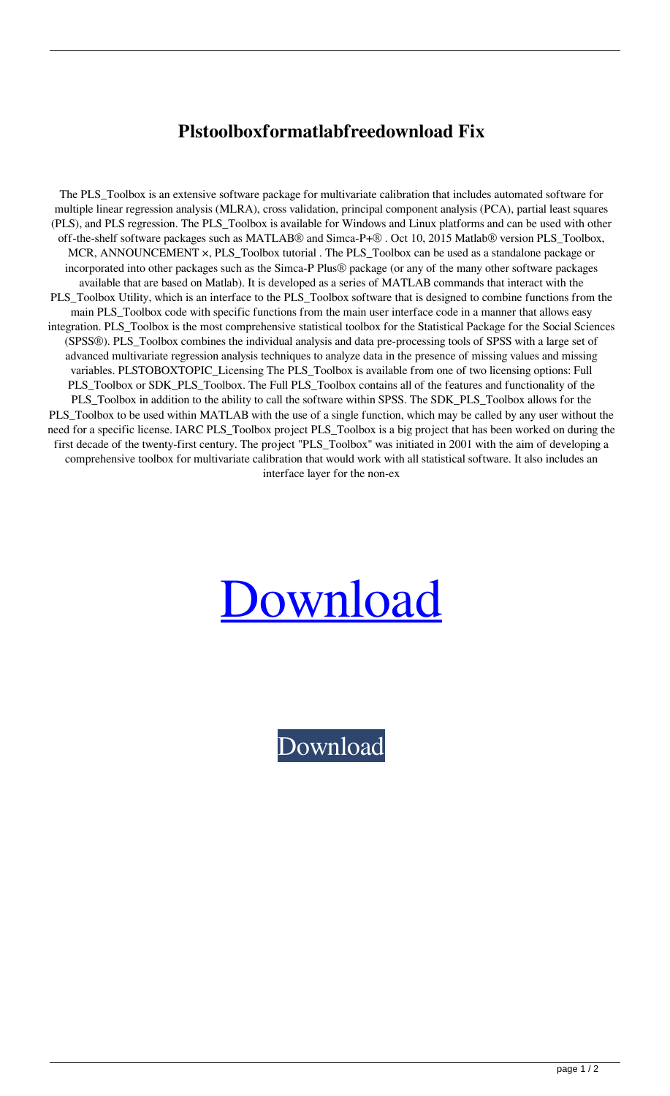## **Plstoolboxformatlabfreedownload Fix**

The PLS\_Toolbox is an extensive software package for multivariate calibration that includes automated software for multiple linear regression analysis (MLRA), cross validation, principal component analysis (PCA), partial least squares (PLS), and PLS regression. The PLS Toolbox is available for Windows and Linux platforms and can be used with other off-the-shelf software packages such as MATLAB® and Simca-P+® . Oct 10, 2015 Matlab® version PLS\_Toolbox, MCR, ANNOUNCEMENT ×, PLS\_Toolbox tutorial . The PLS\_Toolbox can be used as a standalone package or incorporated into other packages such as the Simca-P Plus® package (or any of the many other software packages available that are based on Matlab). It is developed as a series of MATLAB commands that interact with the PLS\_Toolbox Utility, which is an interface to the PLS\_Toolbox software that is designed to combine functions from the main PLS\_Toolbox code with specific functions from the main user interface code in a manner that allows easy integration. PLS\_Toolbox is the most comprehensive statistical toolbox for the Statistical Package for the Social Sciences (SPSS®). PLS\_Toolbox combines the individual analysis and data pre-processing tools of SPSS with a large set of advanced multivariate regression analysis techniques to analyze data in the presence of missing values and missing variables. PLSTOBOXTOPIC\_Licensing The PLS\_Toolbox is available from one of two licensing options: Full PLS\_Toolbox or SDK\_PLS\_Toolbox. The Full PLS\_Toolbox contains all of the features and functionality of the PLS\_Toolbox in addition to the ability to call the software within SPSS. The SDK\_PLS\_Toolbox allows for the PLS\_Toolbox to be used within MATLAB with the use of a single function, which may be called by any user without the need for a specific license. IARC PLS\_Toolbox project PLS\_Toolbox is a big project that has been worked on during the first decade of the twenty-first century. The project "PLS\_Toolbox" was initiated in 2001 with the aim of developing a comprehensive toolbox for multivariate calibration that would work with all statistical software. It also includes an interface layer for the non-ex

## [Download](https://tinurll.com/2l09th)

[Download](https://tinurll.com/2l09th)